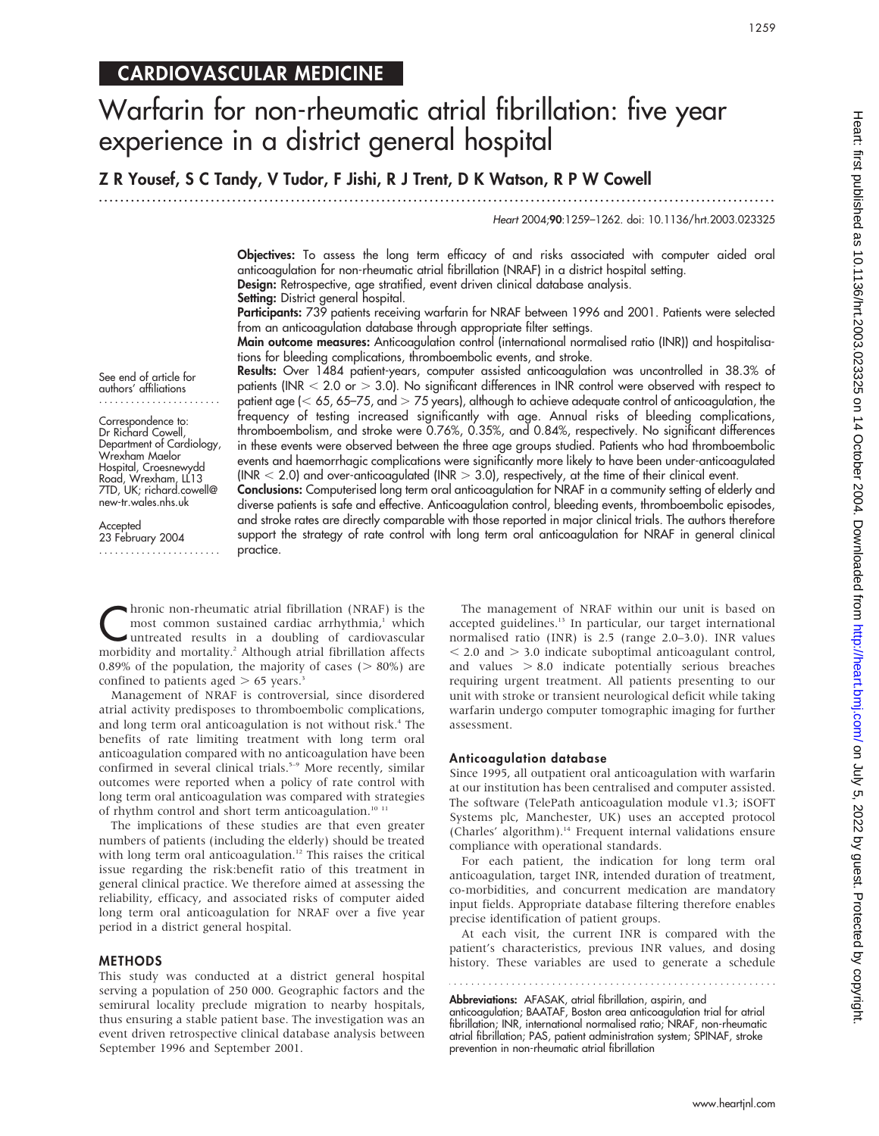## CARDIOVASCULAR MEDICINE

# Warfarin for non-rheumatic atrial fibrillation: five year experience in a district general hospital

Z R Yousef, S C Tandy, V Tudor, F Jishi, R J Trent, D K Watson, R P W Cowell

...............................................................................................................................

Heart 2004;90:1259–1262. doi: 10.1136/hrt.2003.023325

Objectives: To assess the long term efficacy of and risks associated with computer aided oral anticoagulation for non-rheumatic atrial fibrillation (NRAF) in a district hospital setting. Design: Retrospective, age stratified, event driven clinical database analysis. Setting: District general hospital.

Participants: 739 patients receiving warfarin for NRAF between 1996 and 2001. Patients were selected from an anticoagulation database through appropriate filter settings.

Main outcome measures: Anticoagulation control (international normalised ratio (INR)) and hospitalisations for bleeding complications, thromboembolic events, and stroke.

Results: Over 1484 patient-years, computer assisted anticoagulation was uncontrolled in 38.3% of patients (INR  $<$  2.0 or  $>$  3.0). No significant differences in INR control were observed with respect to patient age ( $<$  65, 65–75, and  $>$  75 years), although to achieve adequate control of anticoagulation, the frequency of testing increased significantly with age. Annual risks of bleeding complications, thromboembolism, and stroke were 0.76%, 0.35%, and 0.84%, respectively. No significant differences in these events were observed between the three age groups studied. Patients who had thromboembolic events and haemorrhagic complications were significantly more likely to have been under-anticoagulated (INR  $<$  2.0) and over-anticoagulated (INR  $>$  3.0), respectively, at the time of their clinical event.

Conclusions: Computerised long term oral anticoagulation for NRAF in a community setting of elderly and diverse patients is safe and effective. Anticoagulation control, bleeding events, thromboembolic episodes, and stroke rates are directly comparable with those reported in major clinical trials. The authors therefore support the strategy of rate control with long term oral anticoagulation for NRAF in general clinical practice.

See end of article for authors' affiliations .......................

Correspondence to: Dr Richard Cowell, Department of Cardiology, Wrexham Maelor Hospital, Croesnewydd Road, Wrexham, LL13 7TD, UK; richard.cowell@ new-tr.wales.nhs.uk

Accepted 23 February 2004 .......................

**C**hronic non-rheumatic atrial fibrillation (NRAF) is the<br>most common sustained cardiac arrhythmia,<sup>1</sup> which<br>untreated results in a doubling of cardiovascular<br>morbidity and mortality,<sup>2</sup> Although atrial fibrillation effect most common sustained cardiac arrhythmia,<sup>1</sup> which morbidity and mortality.2 Although atrial fibrillation affects 0.89% of the population, the majority of cases ( $> 80\%$ ) are confined to patients aged  $> 65$  years.<sup>3</sup>

Management of NRAF is controversial, since disordered atrial activity predisposes to thromboembolic complications, and long term oral anticoagulation is not without risk.<sup>4</sup> The benefits of rate limiting treatment with long term oral anticoagulation compared with no anticoagulation have been confirmed in several clinical trials.<sup>5-9</sup> More recently, similar outcomes were reported when a policy of rate control with long term oral anticoagulation was compared with strategies of rhythm control and short term anticoagulation.<sup>10 11</sup>

The implications of these studies are that even greater numbers of patients (including the elderly) should be treated with long term oral anticoagulation.<sup>12</sup> This raises the critical issue regarding the risk:benefit ratio of this treatment in general clinical practice. We therefore aimed at assessing the reliability, efficacy, and associated risks of computer aided long term oral anticoagulation for NRAF over a five year period in a district general hospital.

#### METHODS

This study was conducted at a district general hospital serving a population of 250 000. Geographic factors and the semirural locality preclude migration to nearby hospitals, thus ensuring a stable patient base. The investigation was an event driven retrospective clinical database analysis between September 1996 and September 2001.

The management of NRAF within our unit is based on accepted guidelines.<sup>13</sup> In particular, our target international normalised ratio (INR) is 2.5 (range 2.0–3.0). INR values  $<$  2.0 and  $>$  3.0 indicate suboptimal anticoagulant control, and values  $> 8.0$  indicate potentially serious breaches requiring urgent treatment. All patients presenting to our unit with stroke or transient neurological deficit while taking warfarin undergo computer tomographic imaging for further assessment.

#### Anticoagulation database

Since 1995, all outpatient oral anticoagulation with warfarin at our institution has been centralised and computer assisted. The software (TelePath anticoagulation module v1.3; iSOFT Systems plc, Manchester, UK) uses an accepted protocol (Charles' algorithm).<sup>14</sup> Frequent internal validations ensure compliance with operational standards.

For each patient, the indication for long term oral anticoagulation, target INR, intended duration of treatment, co-morbidities, and concurrent medication are mandatory input fields. Appropriate database filtering therefore enables precise identification of patient groups.

At each visit, the current INR is compared with the patient's characteristics, previous INR values, and dosing history. These variables are used to generate a schedule

Abbreviations: AFASAK, atrial fibrillation, aspirin, and anticoagulation; BAATAF, Boston area anticoagulation trial for atrial fibrillation; INR, international normalised ratio; NRAF, non-rheumatic atrial fibrillation; PAS, patient administration system; SPINAF, stroke prevention in non-rheumatic atrial fibrillation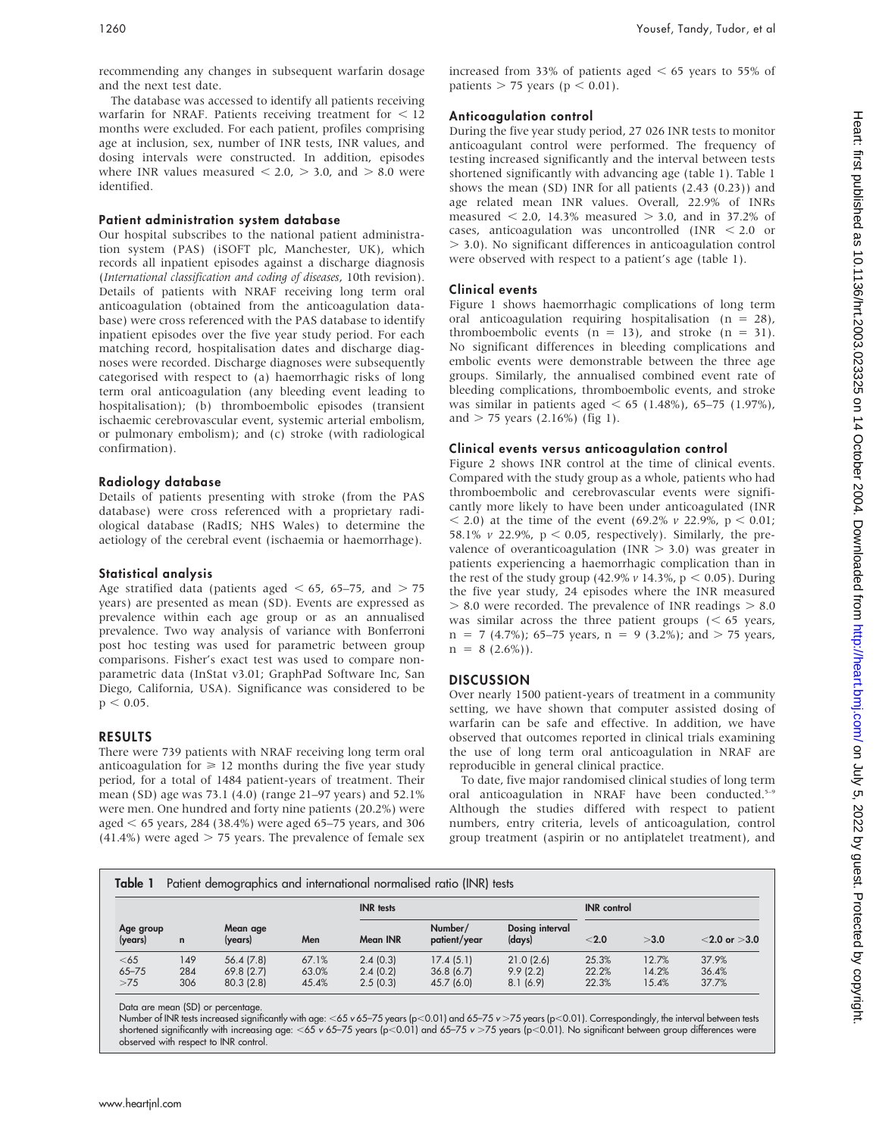recommending any changes in subsequent warfarin dosage and the next test date.

The database was accessed to identify all patients receiving warfarin for NRAF. Patients receiving treatment for  $<$  12 months were excluded. For each patient, profiles comprising age at inclusion, sex, number of INR tests, INR values, and dosing intervals were constructed. In addition, episodes where INR values measured  $< 2.0$ ,  $> 3.0$ , and  $> 8.0$  were identified.

#### Patient administration system database

Our hospital subscribes to the national patient administration system (PAS) (iSOFT plc, Manchester, UK), which records all inpatient episodes against a discharge diagnosis (International classification and coding of diseases, 10th revision). Details of patients with NRAF receiving long term oral anticoagulation (obtained from the anticoagulation database) were cross referenced with the PAS database to identify inpatient episodes over the five year study period. For each matching record, hospitalisation dates and discharge diagnoses were recorded. Discharge diagnoses were subsequently categorised with respect to (a) haemorrhagic risks of long term oral anticoagulation (any bleeding event leading to hospitalisation); (b) thromboembolic episodes (transient ischaemic cerebrovascular event, systemic arterial embolism, or pulmonary embolism); and (c) stroke (with radiological confirmation).

## Radiology database

Details of patients presenting with stroke (from the PAS database) were cross referenced with a proprietary radiological database (RadIS; NHS Wales) to determine the aetiology of the cerebral event (ischaemia or haemorrhage).

## Statistical analysis

Age stratified data (patients aged  $<$  65, 65–75, and  $>$  75 years) are presented as mean (SD). Events are expressed as prevalence within each age group or as an annualised prevalence. Two way analysis of variance with Bonferroni post hoc testing was used for parametric between group comparisons. Fisher's exact test was used to compare nonparametric data (InStat v3.01; GraphPad Software Inc, San Diego, California, USA). Significance was considered to be  $p < 0.05$ .

## RESULTS

There were 739 patients with NRAF receiving long term oral anticoagulation for  $\geq 12$  months during the five year study period, for a total of 1484 patient-years of treatment. Their mean (SD) age was 73.1 (4.0) (range 21–97 years) and 52.1% were men. One hundred and forty nine patients (20.2%) were aged  $<$  65 years, 284 (38.4%) were aged 65–75 years, and 306  $(41.4%)$  were aged  $> 75$  years. The prevalence of female sex

## Anticoagulation control

During the five year study period, 27 026 INR tests to monitor anticoagulant control were performed. The frequency of testing increased significantly and the interval between tests shortened significantly with advancing age (table 1). Table 1 shows the mean (SD) INR for all patients (2.43 (0.23)) and age related mean INR values. Overall, 22.9% of INRs measured  $\leq 2.0$ , 14.3% measured  $> 3.0$ , and in 37.2% of cases, anticoagulation was uncontrolled  $(INR < 2.0$  or . 3.0). No significant differences in anticoagulation control were observed with respect to a patient's age (table 1).

## Clinical events

Figure 1 shows haemorrhagic complications of long term oral anticoagulation requiring hospitalisation ( $n = 28$ ), thromboembolic events  $(n = 13)$ , and stroke  $(n = 31)$ . No significant differences in bleeding complications and embolic events were demonstrable between the three age groups. Similarly, the annualised combined event rate of bleeding complications, thromboembolic events, and stroke was similar in patients aged  $<$  65 (1.48%), 65–75 (1.97%), and  $> 75$  years (2.16%) (fig 1).

## Clinical events versus anticoagulation control

Figure 2 shows INR control at the time of clinical events. Compared with the study group as a whole, patients who had thromboembolic and cerebrovascular events were significantly more likely to have been under anticoagulated (INR  $(69.2\% \text{ y } 22.9\%, \text{ p } 0.01;$ 58.1% v 22.9%,  $p < 0.05$ , respectively). Similarly, the prevalence of overanticoagulation (INR  $> 3.0$ ) was greater in patients experiencing a haemorrhagic complication than in the rest of the study group (42.9%  $\nu$  14.3%, p < 0.05). During the five year study, 24 episodes where the INR measured  $> 8.0$  were recorded. The prevalence of INR readings  $> 8.0$ was similar across the three patient groups  $(< 65$  years,  $n = 7$  (4.7%); 65–75 years,  $n = 9$  (3.2%); and  $> 75$  years,  $n = 8$  (2.6%)).

#### **DISCUSSION**

Over nearly 1500 patient-years of treatment in a community setting, we have shown that computer assisted dosing of warfarin can be safe and effective. In addition, we have observed that outcomes reported in clinical trials examining the use of long term oral anticoagulation in NRAF are reproducible in general clinical practice.

To date, five major randomised clinical studies of long term oral anticoagulation in NRAF have been conducted.<sup>5-9</sup> Although the studies differed with respect to patient numbers, entry criteria, levels of anticoagulation, control group treatment (aspirin or no antiplatelet treatment), and

| Table 1<br>Patient demographics and international normalised ratio (INR) tests |                   |                                     |                         |                                  |                                      |                                   |                         |                         |                         |  |
|--------------------------------------------------------------------------------|-------------------|-------------------------------------|-------------------------|----------------------------------|--------------------------------------|-----------------------------------|-------------------------|-------------------------|-------------------------|--|
| Age group<br>(years)                                                           |                   | Mean age<br>(years)                 | <b>INR</b> tests        |                                  |                                      |                                   | <b>INR</b> control      |                         |                         |  |
|                                                                                | $\mathbf n$       |                                     | Men                     | Mean INR                         | Number/<br>patient/year              | Dosing interval<br>(days)         | $<$ 2.0                 | >3.0                    | $<$ 2.0 or $>$ 3.0      |  |
| $<$ 65<br>$65 - 75$<br>>75                                                     | 149<br>284<br>306 | 56.4(7.8)<br>69.8(2.7)<br>80.3(2.8) | 67.1%<br>63.0%<br>45.4% | 2.4(0.3)<br>2.4(0.2)<br>2.5(0.3) | 17.4(5.1)<br>36.8(6.7)<br>45.7 (6.0) | 21.0(2.6)<br>9.9(2.2)<br>8.1(6.9) | 25.3%<br>22.2%<br>22.3% | 12.7%<br>14.2%<br>15.4% | 37.9%<br>36.4%<br>37.7% |  |

Data are mean (SD) or percentage.

Number of INR tests increased significantly with age: <65 v 65–75 years (p<0.01) and 65–75 v >75 years (p<0.01). Correspondingly, the interval between tests shortened significantly with increasing age: <65 v 65–75 years (p<0.01) and 65–75 v >75 years (p<0.01). No significant between group differences were observed with respect to INR control.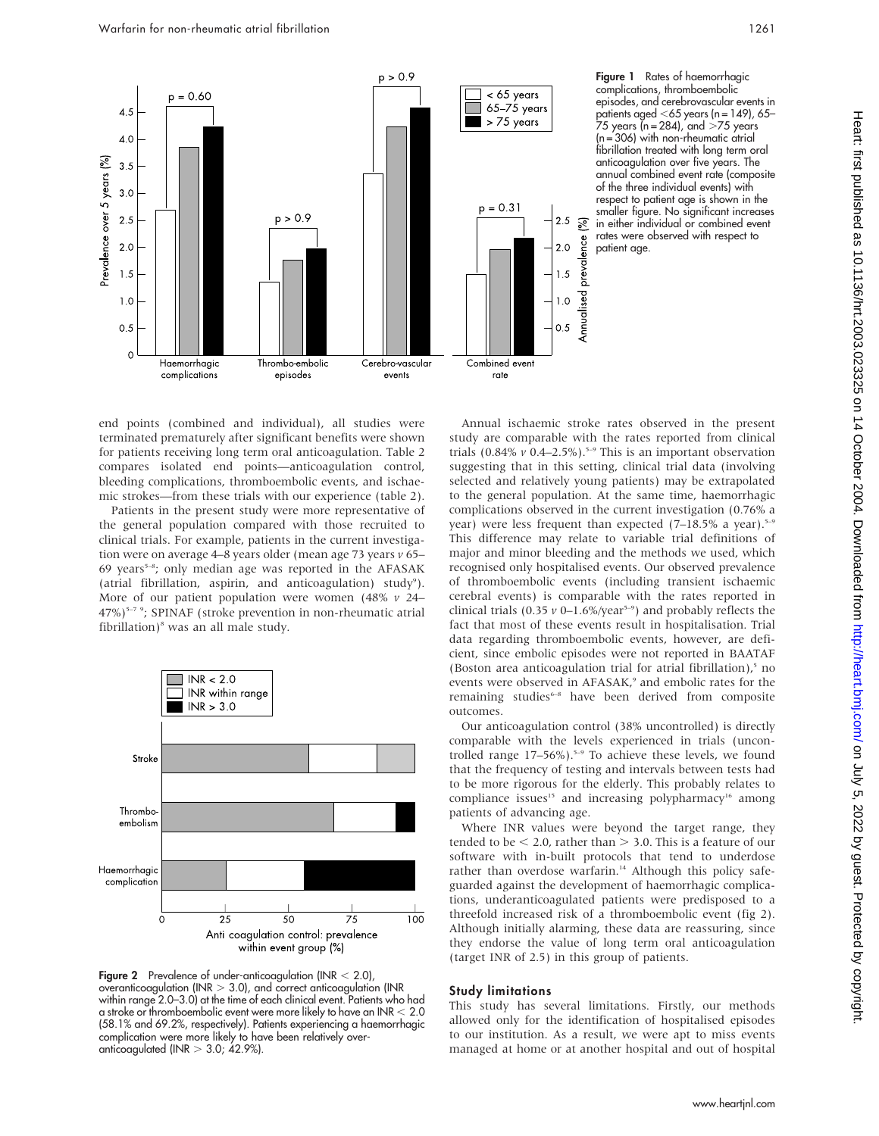

Figure 1 Rates of haemorrhagic complications, thromboembolic episodes, and cerebrovascular events in patients aged ,65 years (n = 149), 65– 75 years (n = 284), and .75 years (n = 306) with non-rheumatic atrial fibrillation treated with long term oral anticoagulation over five years. The annual combined event rate (composite of the three individual events) with respect to patient age is shown in the smaller figure. No significant increases in either individual or combined event rates were observed with respect to patient age.

end points (combined and individual), all studies were terminated prematurely after significant benefits were shown for patients receiving long term oral anticoagulation. Table 2 compares isolated end points—anticoagulation control, bleeding complications, thromboembolic events, and ischaemic strokes—from these trials with our experience (table 2).

Patients in the present study were more representative of the general population compared with those recruited to clinical trials. For example, patients in the current investigation were on average 4–8 years older (mean age 73 years v 65– 69 years<sup>5-8</sup>; only median age was reported in the AFASAK (atrial fibrillation, aspirin, and anticoagulation) study<sup>9</sup>). More of our patient population were women  $(48\% \text{ } v \text{ } 24-$ 47%)<sup>5-7</sup> <sup>9</sup>; SPINAF (stroke prevention in non-rheumatic atrial fibrillation) $^8$  was an all male study.



**Figure 2** Prevalence of under-anticoagulation (INR  $<$  2.0), overanticoagulation (INR  $> 3.0$ ), and correct anticoagulation (INR within range 2.0–3.0) at the time of each clinical event. Patients who had a stroke or thromboembolic event were more likely to have an INR  $< 2.0$ (58.1% and 69.2%, respectively). Patients experiencing a haemorrhagic complication were more likely to have been relatively overanticoagulated (INR  $>$  3.0; 42.9%).

Annual ischaemic stroke rates observed in the present study are comparable with the rates reported from clinical trials (0.84%  $\nu$  0.4–2.5%).<sup>5–9</sup> This is an important observation suggesting that in this setting, clinical trial data (involving selected and relatively young patients) may be extrapolated to the general population. At the same time, haemorrhagic complications observed in the current investigation (0.76% a year) were less frequent than expected  $(7-18.5\%$  a year).<sup>5-9</sup> This difference may relate to variable trial definitions of major and minor bleeding and the methods we used, which recognised only hospitalised events. Our observed prevalence of thromboembolic events (including transient ischaemic cerebral events) is comparable with the rates reported in clinical trials (0.35  $\nu$  0–1.6%/year<sup>5–9</sup>) and probably reflects the fact that most of these events result in hospitalisation. Trial data regarding thromboembolic events, however, are deficient, since embolic episodes were not reported in BAATAF (Boston area anticoagulation trial for atrial fibrillation), $5$  no events were observed in AFASAK,<sup>9</sup> and embolic rates for the remaining studies<sup>6-8</sup> have been derived from composite outcomes.

Our anticoagulation control (38% uncontrolled) is directly comparable with the levels experienced in trials (uncontrolled range  $17-56\%$ ).<sup>5-9</sup> To achieve these levels, we found that the frequency of testing and intervals between tests had to be more rigorous for the elderly. This probably relates to compliance issues<sup>15</sup> and increasing polypharmacy<sup>16</sup> among patients of advancing age.

Where INR values were beyond the target range, they tended to be  $<$  2.0, rather than  $>$  3.0. This is a feature of our software with in-built protocols that tend to underdose rather than overdose warfarin.<sup>14</sup> Although this policy safeguarded against the development of haemorrhagic complications, underanticoagulated patients were predisposed to a threefold increased risk of a thromboembolic event (fig 2). Although initially alarming, these data are reassuring, since they endorse the value of long term oral anticoagulation (target INR of 2.5) in this group of patients.

#### Study limitations

This study has several limitations. Firstly, our methods allowed only for the identification of hospitalised episodes to our institution. As a result, we were apt to miss events managed at home or at another hospital and out of hospital